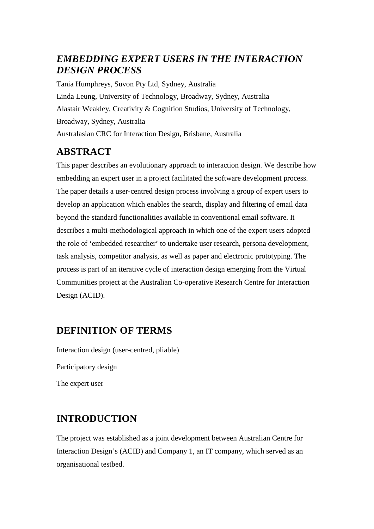## *EMBEDDING EXPERT USERS IN THE INTERACTION DESIGN PROCESS*

Tania Humphreys, Suvon Pty Ltd, Sydney, Australia Linda Leung, University of Technology, Broadway, Sydney, Australia Alastair Weakley, Creativity & Cognition Studios, University of Technology, Broadway, Sydney, Australia Australasian CRC for Interaction Design, Brisbane, Australia

# **ABSTRACT**

This paper describes an evolutionary approach to interaction design. We describe how embedding an expert user in a project facilitated the software development process. The paper details a user-centred design process involving a group of expert users to develop an application which enables the search, display and filtering of email data beyond the standard functionalities available in conventional email software. It describes a multi-methodological approach in which one of the expert users adopted the role of 'embedded researcher' to undertake user research, persona development, task analysis, competitor analysis, as well as paper and electronic prototyping. The process is part of an iterative cycle of interaction design emerging from the Virtual Communities project at the Australian Co-operative Research Centre for Interaction Design (ACID).

## **DEFINITION OF TERMS**

Interaction design (user-centred, pliable) Participatory design The expert user

# **INTRODUCTION**

The project was established as a joint development between Australian Centre for Interaction Design's (ACID) and Company 1, an IT company, which served as an organisational testbed.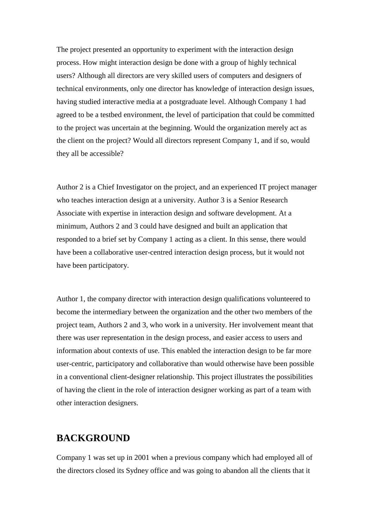The project presented an opportunity to experiment with the interaction design process. How might interaction design be done with a group of highly technical users? Although all directors are very skilled users of computers and designers of technical environments, only one director has knowledge of interaction design issues, having studied interactive media at a postgraduate level. Although Company 1 had agreed to be a testbed environment, the level of participation that could be committed to the project was uncertain at the beginning. Would the organization merely act as the client on the project? Would all directors represent Company 1, and if so, would they all be accessible?

Author 2 is a Chief Investigator on the project, and an experienced IT project manager who teaches interaction design at a university. Author 3 is a Senior Research Associate with expertise in interaction design and software development. At a minimum, Authors 2 and 3 could have designed and built an application that responded to a brief set by Company 1 acting as a client. In this sense, there would have been a collaborative user-centred interaction design process, but it would not have been participatory.

Author 1, the company director with interaction design qualifications volunteered to become the intermediary between the organization and the other two members of the project team, Authors 2 and 3, who work in a university. Her involvement meant that there was user representation in the design process, and easier access to users and information about contexts of use. This enabled the interaction design to be far more user-centric, participatory and collaborative than would otherwise have been possible in a conventional client-designer relationship. This project illustrates the possibilities of having the client in the role of interaction designer working as part of a team with other interaction designers.

## **BACKGROUND**

Company 1 was set up in 2001 when a previous company which had employed all of the directors closed its Sydney office and was going to abandon all the clients that it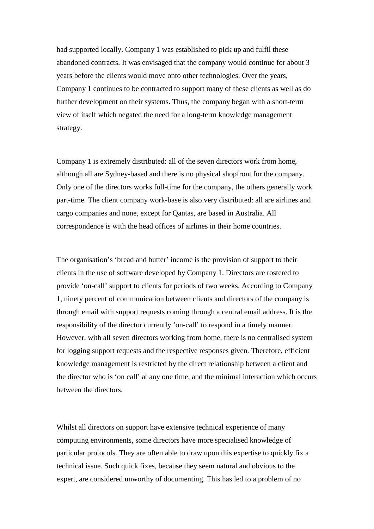had supported locally. Company 1 was established to pick up and fulfil these abandoned contracts. It was envisaged that the company would continue for about 3 years before the clients would move onto other technologies. Over the years, Company 1 continues to be contracted to support many of these clients as well as do further development on their systems. Thus, the company began with a short-term view of itself which negated the need for a long-term knowledge management strategy.

Company 1 is extremely distributed: all of the seven directors work from home, although all are Sydney-based and there is no physical shopfront for the company. Only one of the directors works full-time for the company, the others generally work part-time. The client company work-base is also very distributed: all are airlines and cargo companies and none, except for Qantas, are based in Australia. All correspondence is with the head offices of airlines in their home countries.

The organisation's 'bread and butter' income is the provision of support to their clients in the use of software developed by Company 1. Directors are rostered to provide 'on-call' support to clients for periods of two weeks. According to Company 1, ninety percent of communication between clients and directors of the company is through email with support requests coming through a central email address. It is the responsibility of the director currently 'on-call' to respond in a timely manner. However, with all seven directors working from home, there is no centralised system for logging support requests and the respective responses given. Therefore, efficient knowledge management is restricted by the direct relationship between a client and the director who is 'on call' at any one time, and the minimal interaction which occurs between the directors.

Whilst all directors on support have extensive technical experience of many computing environments, some directors have more specialised knowledge of particular protocols. They are often able to draw upon this expertise to quickly fix a technical issue. Such quick fixes, because they seem natural and obvious to the expert, are considered unworthy of documenting. This has led to a problem of no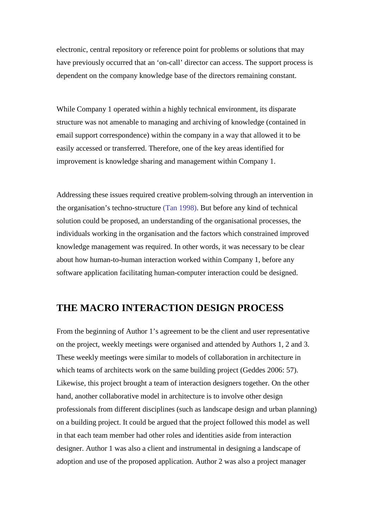electronic, central repository or reference point for problems or solutions that may have previously occurred that an 'on-call' director can access. The support process is dependent on the company knowledge base of the directors remaining constant.

While Company 1 operated within a highly technical environment, its disparate structure was not amenable to managing and archiving of knowledge (contained in email support correspondence) within the company in a way that allowed it to be easily accessed or transferred. Therefore, one of the key areas identified for improvement is knowledge sharing and management within Company 1.

Addressing these issues required creative problem-solving through an intervention in the organisation's techno-structure (Tan 1998). But before any kind of technical solution could be proposed, an understanding of the organisational processes, the individuals working in the organisation and the factors which constrained improved knowledge management was required. In other words, it was necessary to be clear about how human-to-human interaction worked within Company 1, before any software application facilitating human-computer interaction could be designed.

## **THE MACRO INTERACTION DESIGN PROCESS**

From the beginning of Author 1's agreement to be the client and user representative on the project, weekly meetings were organised and attended by Authors 1, 2 and 3. These weekly meetings were similar to models of collaboration in architecture in which teams of architects work on the same building project (Geddes 2006: 57). Likewise, this project brought a team of interaction designers together. On the other hand, another collaborative model in architecture is to involve other design professionals from different disciplines (such as landscape design and urban planning) on a building project. It could be argued that the project followed this model as well in that each team member had other roles and identities aside from interaction designer. Author 1 was also a client and instrumental in designing a landscape of adoption and use of the proposed application. Author 2 was also a project manager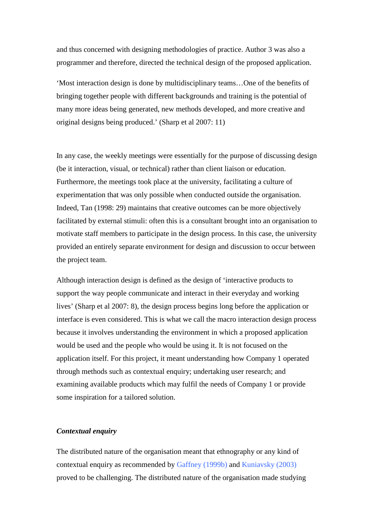and thus concerned with designing methodologies of practice. Author 3 was also a programmer and therefore, directed the technical design of the proposed application.

'Most interaction design is done by multidisciplinary teams…One of the benefits of bringing together people with different backgrounds and training is the potential of many more ideas being generated, new methods developed, and more creative and original designs being produced.' (Sharp et al 2007: 11)

In any case, the weekly meetings were essentially for the purpose of discussing design (be it interaction, visual, or technical) rather than client liaison or education. Furthermore, the meetings took place at the university, facilitating a culture of experimentation that was only possible when conducted outside the organisation. Indeed, Tan (1998: 29) maintains that creative outcomes can be more objectively facilitated by external stimuli: often this is a consultant brought into an organisation to motivate staff members to participate in the design process. In this case, the university provided an entirely separate environment for design and discussion to occur between the project team.

Although interaction design is defined as the design of 'interactive products to support the way people communicate and interact in their everyday and working lives' (Sharp et al 2007: 8), the design process begins long before the application or interface is even considered. This is what we call the macro interaction design process because it involves understanding the environment in which a proposed application would be used and the people who would be using it. It is not focused on the application itself. For this project, it meant understanding how Company 1 operated through methods such as contextual enquiry; undertaking user research; and examining available products which may fulfil the needs of Company 1 or provide some inspiration for a tailored solution.

#### *Contextual enquiry*

The distributed nature of the organisation meant that ethnography or any kind of contextual enquiry as recommended by Gaffney (1999b) and Kuniavsky (2003) proved to be challenging. The distributed nature of the organisation made studying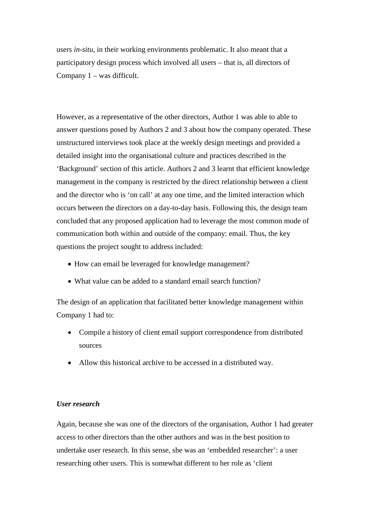users *in-situ*, in their working environments problematic. It also meant that a participatory design process which involved all users – that is, all directors of Company 1 – was difficult.

However, as a representative of the other directors, Author 1 was able to able to answer questions posed by Authors 2 and 3 about how the company operated. These unstructured interviews took place at the weekly design meetings and provided a detailed insight into the organisational culture and practices described in the 'Background' section of this article. Authors 2 and 3 learnt that efficient knowledge management in the company is restricted by the direct relationship between a client and the director who is 'on call' at any one time, and the limited interaction which occurs between the directors on a day-to-day basis. Following this, the design team concluded that any proposed application had to leverage the most common mode of communication both within and outside of the company: email. Thus, the key questions the project sought to address included:

- How can email be leveraged for knowledge management?
- What value can be added to a standard email search function?

The design of an application that facilitated better knowledge management within Company 1 had to:

- Compile a history of client email support correspondence from distributed sources
- Allow this historical archive to be accessed in a distributed way.

#### *User research*

Again, because she was one of the directors of the organisation, Author 1 had greater access to other directors than the other authors and was in the best position to undertake user research. In this sense, she was an 'embedded researcher': a user researching other users. This is somewhat different to her role as 'client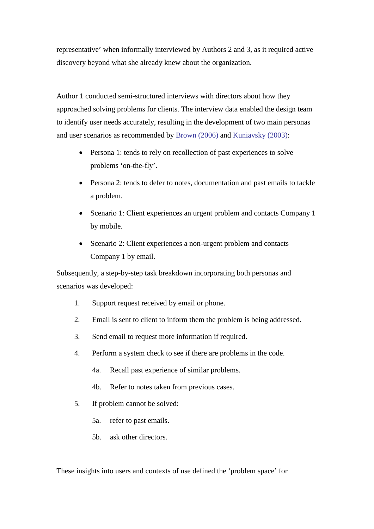representative' when informally interviewed by Authors 2 and 3, as it required active discovery beyond what she already knew about the organization.

Author 1 conducted semi-structured interviews with directors about how they approached solving problems for clients. The interview data enabled the design team to identify user needs accurately, resulting in the development of two main personas and user scenarios as recommended by Brown (2006) and Kuniavsky (2003):

- Persona 1: tends to rely on recollection of past experiences to solve problems 'on-the-fly'.
- Persona 2: tends to defer to notes, documentation and past emails to tackle a problem.
- Scenario 1: Client experiences an urgent problem and contacts Company 1 by mobile.
- Scenario 2: Client experiences a non-urgent problem and contacts Company 1 by email.

Subsequently, a step-by-step task breakdown incorporating both personas and scenarios was developed:

- 1. Support request received by email or phone.
- 2. Email is sent to client to inform them the problem is being addressed.
- 3. Send email to request more information if required.
- 4. Perform a system check to see if there are problems in the code.
	- 4a. Recall past experience of similar problems.
	- 4b. Refer to notes taken from previous cases.
- 5. If problem cannot be solved:
	- 5a. refer to past emails.
	- 5b. ask other directors.

These insights into users and contexts of use defined the 'problem space' for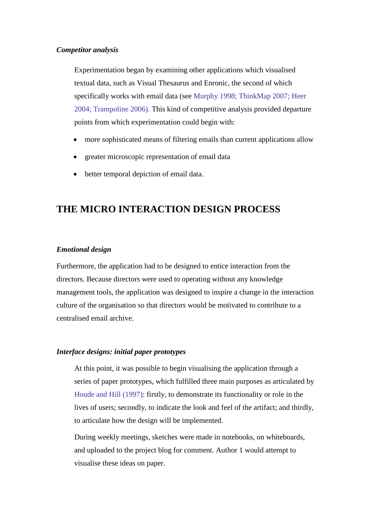#### *Competitor analysis*

Experimentation began by examining other applications which visualised textual data, such as Visual Thesaurus and Enronic, the second of which specifically works with email data (see Murphy 1998; ThinkMap 2007; Heer 2004; Trampoline 2006). This kind of competitive analysis provided departure points from which experimentation could begin with:

- more sophisticated means of filtering emails than current applications allow
- greater microscopic representation of email data
- better temporal depiction of email data.

## **THE MICRO INTERACTION DESIGN PROCESS**

#### *Emotional design*

Furthermore, the application had to be designed to entice interaction from the directors. Because directors were used to operating without any knowledge management tools, the application was designed to inspire a change in the interaction culture of the organisation so that directors would be motivated to contribute to a centralised email archive.

#### *Interface designs: initial paper prototypes*

At this point, it was possible to begin visualising the application through a series of paper prototypes, which fulfilled three main purposes as articulated by Houde and Hill (1997): firstly, to demonstrate its functionality or role in the lives of users; secondly, to indicate the look and feel of the artifact; and thirdly, to articulate how the design will be implemented.

During weekly meetings, sketches were made in notebooks, on whiteboards, and uploaded to the project blog for comment. Author 1 would attempt to visualise these ideas on paper.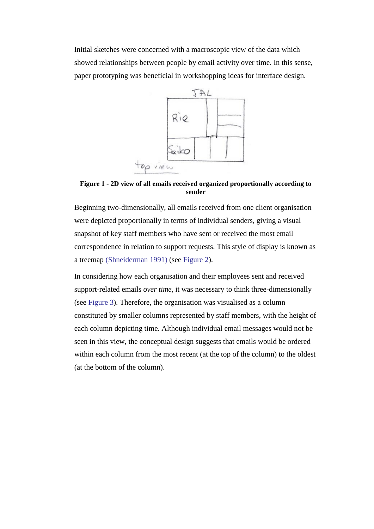<span id="page-8-0"></span>Initial sketches were concerned with a macroscopic view of the data which showed relationships between people by email activity over time. In this sense, paper prototyping was beneficial in workshopping ideas for interface design.



**Figure 1 - 2D view of all emails received organized proportionally according to sender**

Beginning two-dimensionally, all emails received from one client organisation were depicted proportionally in terms of individual senders, giving a visual snapshot of key staff members who have sent or received the most email correspondence in relation to support requests. This style of display is known as a treemap (Shneiderman 1991) (see [Figure 2\)](#page-8-0).

In considering how each organisation and their employees sent and received support-related emails *over time*, it was necessary to think three-dimensionally (see [Figure 3\)](#page-9-0). Therefore, the organisation was visualised as a column constituted by smaller columns represented by staff members, with the height of each column depicting time. Although individual email messages would not be seen in this view, the conceptual design suggests that emails would be ordered within each column from the most recent (at the top of the column) to the oldest (at the bottom of the column).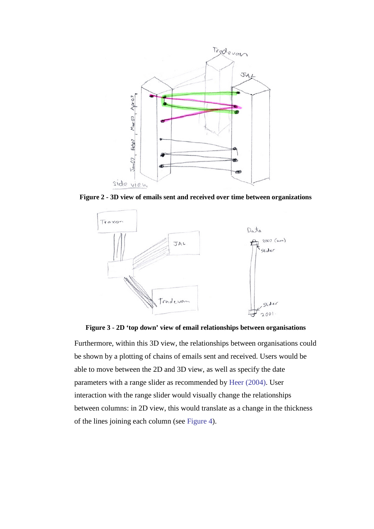<span id="page-9-0"></span>

<span id="page-9-1"></span>**Figure 2 - 3D view of emails sent and received over time between organizations**



**Figure 3 - 2D 'top down' view of email relationships between organisations**

Furthermore, within this 3D view, the relationships between organisations could be shown by a plotting of chains of emails sent and received. Users would be able to move between the 2D and 3D view, as well as specify the date parameters with a range slider as recommended by Heer (2004). User interaction with the range slider would visually change the relationships between columns: in 2D view, this would translate as a change in the thickness of the lines joining each column (see [Figure 4\)](#page-9-1).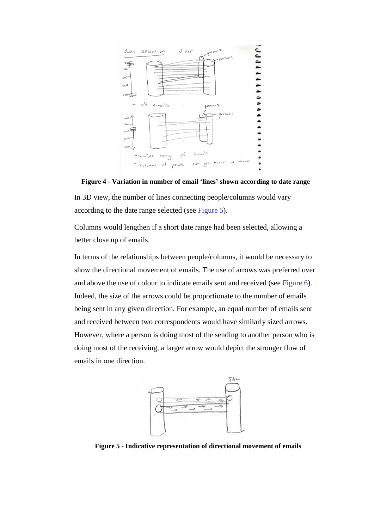<span id="page-10-0"></span>

**Figure 4 - Variation in number of email 'lines' shown according to date range** In 3D view, the number of lines connecting people/columns would vary according to the date range selected (see [Figure 5\)](#page-10-0).

Columns would lengthen if a short date range had been selected, allowing a better close up of emails.

In terms of the relationships between people/columns, it would be necessary to show the directional movement of emails. The use of arrows was preferred over and above the use of colour to indicate emails sent and received (see [Figure 6\)](#page-10-1). Indeed, the size of the arrows could be proportionate to the number of emails being sent in any given direction. For example, an equal number of emails sent and received between two correspondents would have similarly sized arrows. However, where a person is doing most of the sending to another person who is doing most of the receiving, a larger arrow would depict the stronger flow of emails in one direction.



<span id="page-10-1"></span>**Figure 5 - Indicative representation of directional movement of emails**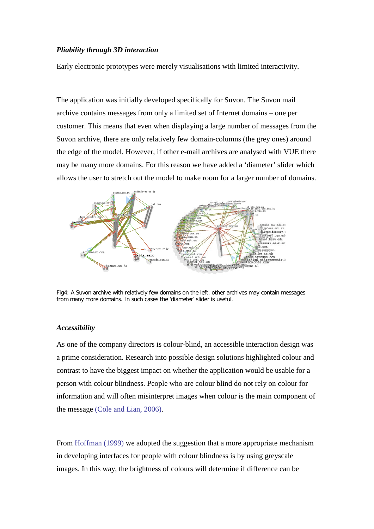#### *Pliability through 3D interaction*

Early electronic prototypes were merely visualisations with limited interactivity.

The application was initially developed specifically for Suvon. The Suvon mail archive contains messages from only a limited set of Internet domains – one per customer. This means that even when displaying a large number of messages from the Suvon archive, there are only relatively few domain-columns (the grey ones) around the edge of the model. However, if other e-mail archives are analysed with VUE there may be many more domains. For this reason we have added a 'diameter' slider which allows the user to stretch out the model to make room for a larger number of domains.



Fig4: A Suvon archive with relatively few domains on the left, other archives may contain messages from many more domains. In such cases the 'diameter' slider is useful.

#### *Accessibility*

As one of the company directors is colour-blind, an accessible interaction design was a prime consideration. Research into possible design solutions highlighted colour and contrast to have the biggest impact on whether the application would be usable for a person with colour blindness. People who are colour blind do not rely on colour for information and will often misinterpret images when colour is the main component of the message (Cole and Lian, 2006).

From Hoffman (1999) we adopted the suggestion that a more appropriate mechanism in developing interfaces for people with colour blindness is by using greyscale images. In this way, the brightness of colours will determine if difference can be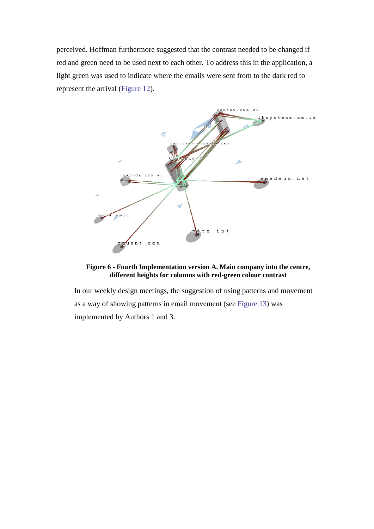perceived. Hoffman furthermore suggested that the contrast needed to be changed if red and green need to be used next to each other. To address this in the application, a light green was used to indicate where the emails were sent from to the dark red to represent the arrival [\(Figure 12\)](#page-12-0).

<span id="page-12-0"></span>

#### **Figure 6 - Fourth Implementation version A. Main company into the centre, different heights for columns with red-green colour contrast**

In our weekly design meetings, the suggestion of using patterns and movement as a way of showing patterns in email movement (see [Figure 13\)](#page-13-0) was implemented by Authors 1 and 3.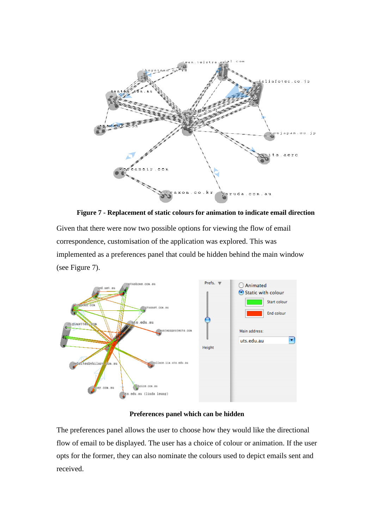<span id="page-13-0"></span>

**Figure 7 - Replacement of static colours for animation to indicate email direction**

Given that there were now two possible options for viewing the flow of email correspondence, customisation of the application was explored. This was implemented as a preferences panel that could be hidden behind the main window (see Figure 7).



#### **Preferences panel which can be hidden**

The preferences panel allows the user to choose how they would like the directional flow of email to be displayed. The user has a choice of colour or animation. If the user opts for the former, they can also nominate the colours used to depict emails sent and received.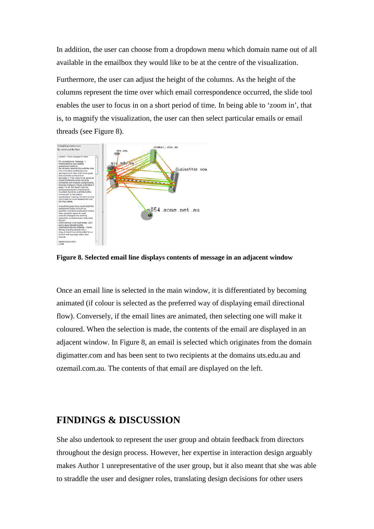In addition, the user can choose from a dropdown menu which domain name out of all available in the emailbox they would like to be at the centre of the visualization.

Furthermore, the user can adjust the height of the columns. As the height of the columns represent the time over which email correspondence occurred, the slide tool enables the user to focus in on a short period of time. In being able to 'zoom in', that is, to magnify the visualization, the user can then select particular emails or email threads (see Figure 8).



**Figure 8. Selected email line displays contents of message in an adjacent window**

Once an email line is selected in the main window, it is differentiated by becoming animated (if colour is selected as the preferred way of displaying email directional flow). Conversely, if the email lines are animated, then selecting one will make it coloured. When the selection is made, the contents of the email are displayed in an adjacent window. In Figure 8, an email is selected which originates from the domain digimatter.com and has been sent to two recipients at the domains uts.edu.au and ozemail.com.au. The contents of that email are displayed on the left.

### **FINDINGS & DISCUSSION**

She also undertook to represent the user group and obtain feedback from directors throughout the design process. However, her expertise in interaction design arguably makes Author 1 unrepresentative of the user group, but it also meant that she was able to straddle the user and designer roles, translating design decisions for other users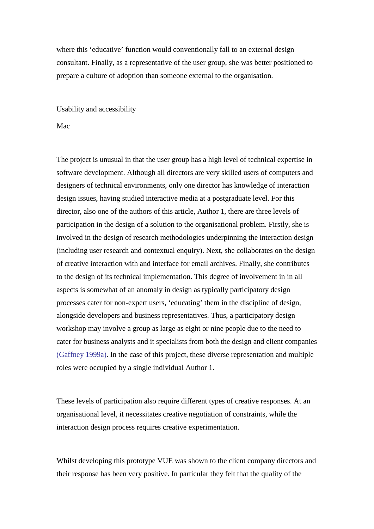where this 'educative' function would conventionally fall to an external design consultant. Finally, as a representative of the user group, she was better positioned to prepare a culture of adoption than someone external to the organisation.

Usability and accessibility

#### Mac

The project is unusual in that the user group has a high level of technical expertise in software development. Although all directors are very skilled users of computers and designers of technical environments, only one director has knowledge of interaction design issues, having studied interactive media at a postgraduate level. For this director, also one of the authors of this article, Author 1, there are three levels of participation in the design of a solution to the organisational problem. Firstly, she is involved in the design of research methodologies underpinning the interaction design (including user research and contextual enquiry). Next, she collaborates on the design of creative interaction with and interface for email archives. Finally, she contributes to the design of its technical implementation. This degree of involvement in in all aspects is somewhat of an anomaly in design as typically participatory design processes cater for non-expert users, 'educating' them in the discipline of design, alongside developers and business representatives. Thus, a participatory design workshop may involve a group as large as eight or nine people due to the need to cater for business analysts and it specialists from both the design and client companies (Gaffney 1999a). In the case of this project, these diverse representation and multiple roles were occupied by a single individual Author 1.

These levels of participation also require different types of creative responses. At an organisational level, it necessitates creative negotiation of constraints, while the interaction design process requires creative experimentation.

Whilst developing this prototype VUE was shown to the client company directors and their response has been very positive. In particular they felt that the quality of the